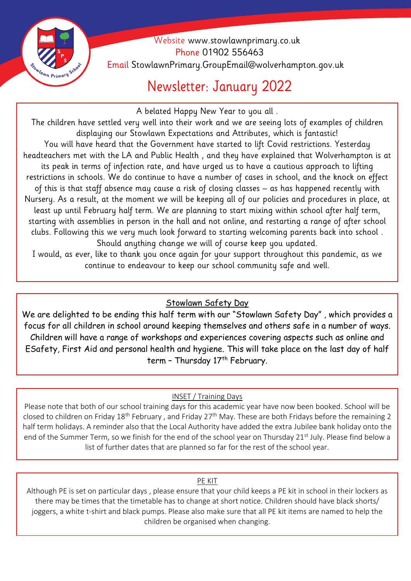

 Website [www.stowlawnprimary.co.uk](http://www.stowlawnprimary.co.uk/)  Phone 01902 556463 Email StowlawnPrimary.GroupEmail@wolverhampton.gov.uk

## Newsletter: January 2022

A belated Happy New Year to you all .

The children have settled very well into their work and we are seeing lots of examples of children displaying our Stowlawn Expectations and Attributes, which is fantastic! You will have heard that the Government have started to lift Covid restrictions. Yesterday headteachers met with the LA and Public Health , and they have explained that Wolverhampton is at its peak in terms of infection rate, and have urged us to have a cautious approach to lifting restrictions in schools. We do continue to have a number of cases in school, and the knock on effect of this is that staff absence may cause a risk of closing classes – as has happened recently with Nursery. As a result, at the moment we will be keeping all of our policies and procedures in place, at least up until February half term. We are planning to start mixing within school after half term, starting with assemblies in person in the hall and not online, and restarting a range of after school clubs. Following this we very much look forward to starting welcoming parents back into school . Should anything change we will of course keep you updated.

I would, as ever, like to thank you once again for your support throughout this pandemic, as we continue to endeavour to keep our school community safe and well.

### Stowlawn Safety Day

We are delighted to be ending this half term with our "Stowlawn Safety Day" , which provides a focus for all children in school around keeping themselves and others safe in a number of ways. Children will have a range of workshops and experiences covering aspects such as online and ESafety, First Aid and personal health and hygiene. This will take place on the last day of half term - Thursday 17<sup>th</sup> February.

### INSET / Training Days

Please note that both of our school training days for this academic year have now been booked. School will be closed to children on Friday 18<sup>th</sup> February , and Friday 27<sup>th</sup> May. These are both Fridays before the remaining 2 half term holidays. A reminder also that the Local Authority have added the extra Jubilee bank holiday onto the end of the Summer Term, so we finish for the end of the school year on Thursday 21<sup>st</sup> July. Please find below a list of further dates that are planned so far for the rest of the school year.

#### PE KIT

Although PE is set on particular days , please ensure that your child keeps a PE kit in school in their lockers as there may be times that the timetable has to change at short notice. Children should have black shorts/ joggers, a white t-shirt and black pumps. Please also make sure that all PE kit items are named to help the children be organised when changing.